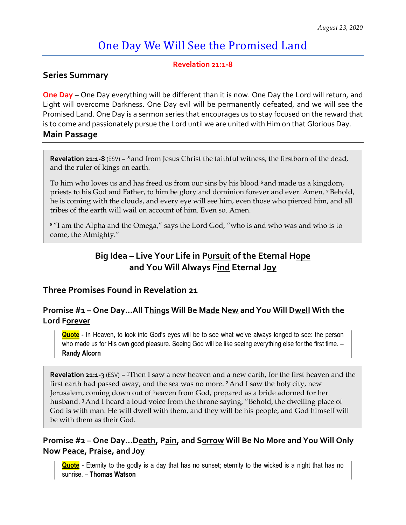# One Day We Will See the Promised Land

#### **Revelation 21:1-8**

#### **Series Summary**

**One Day** – One Day everything will be different than it is now. One Day the Lord will return, and Light will overcome Darkness. One Day evil will be permanently defeated, and we will see the Promised Land. One Day is a sermon series that encourages us to stay focused on the reward that is to come and passionately pursue the Lord until we are united with Him on that Glorious Day.

#### **Main Passage**

**Revelation 21:1-8** (ESV) – **<sup>5</sup>**and from Jesus Christ the faithful witness, the firstborn of the dead, and the ruler of kings on earth.

To him who loves us and has freed us from our sins by his blood **<sup>6</sup>**and made us a kingdom, priests to his God and Father, to him be glory and dominion forever and ever. Amen. **<sup>7</sup>**Behold, he is coming with the clouds, and every eye will see him, even those who pierced him, and all tribes of the earth will wail on account of him. Even so. Amen.

**<sup>8</sup>**"I am the Alpha and the Omega," says the Lord God, "who is and who was and who is to come, the Almighty."

## **Big Idea – Live Your Life in Pursuit of the Eternal Hope and You Will Always Find Eternal Joy**

## **Three Promises Found in Revelation 21**

## **Promise #1 – One Day…All Things Will Be Made New and You Will Dwell With the Lord Forever**

**Quote** - In Heaven, to look into God's eyes will be to see what we've always longed to see: the person who made us for His own good pleasure. Seeing God will be like seeing everything else for the first time. -**Randy Alcorn**

**Revelation 21:1-3** (ESV) – <sup>1</sup>Then I saw a new heaven and a new earth, for the first heaven and the first earth had passed away, and the sea was no more. **<sup>2</sup>**And I saw the holy city, new Jerusalem, coming down out of heaven from God, prepared as a bride adorned for her husband. **<sup>3</sup>**And I heard a loud voice from the throne saying, "Behold, the dwelling place of God is with man. He will dwell with them, and they will be his people, and God himself will be with them as their God.

## **Promise #2 – One Day…Death, Pain, and Sorrow Will Be No More and You Will Only Now Peace, Praise, and Joy**

**Quote** - Eternity to the godly is a day that has no sunset; eternity to the wicked is a night that has no sunrise. – **Thomas Watson**